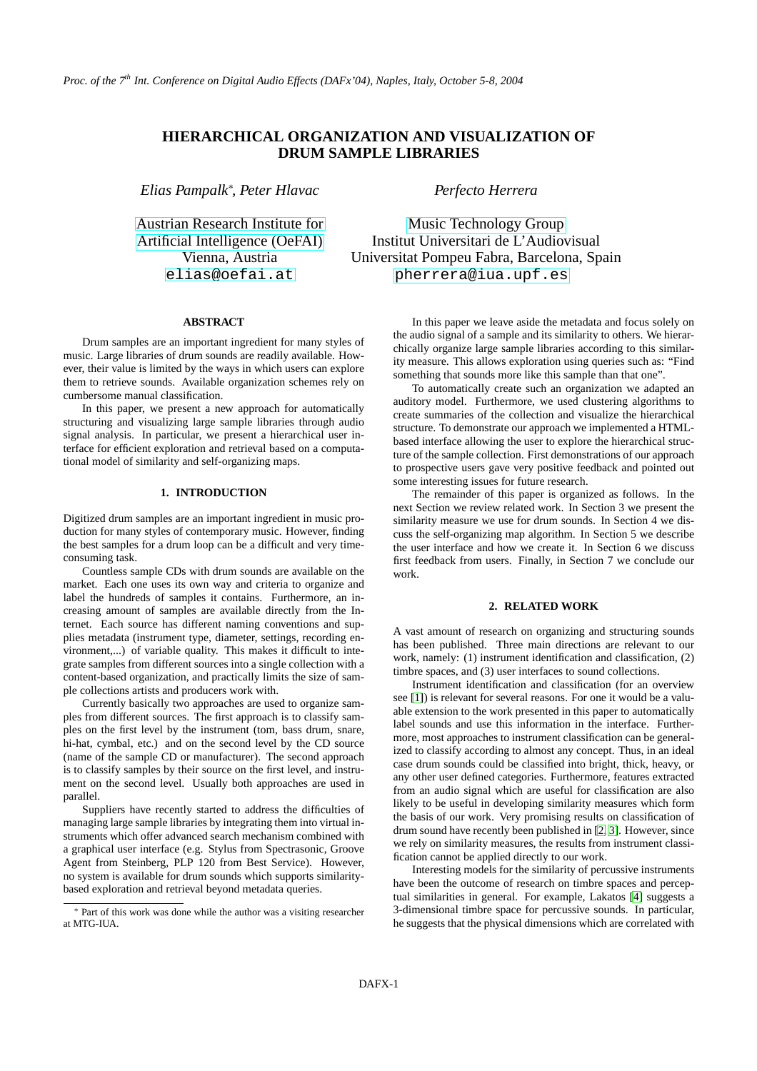# **HIERARCHICAL ORGANIZATION AND VISUALIZATION OF DRUM SAMPLE LIBRARIES**

*Elias Pampalk*<sup>∗</sup> *, Peter Hlavac*

[Austrian Research Institute for](http://www.oefai.at) [Artificial Intelligence \(OeFAI\)](http://www.oefai.at) Vienna, Austria [elias@oefai.at](mailto:elias@oefai.at)

## **ABSTRACT**

Drum samples are an important ingredient for many styles of music. Large libraries of drum sounds are readily available. However, their value is limited by the ways in which users can explore them to retrieve sounds. Available organization schemes rely on cumbersome manual classification.

In this paper, we present a new approach for automatically structuring and visualizing large sample libraries through audio signal analysis. In particular, we present a hierarchical user interface for efficient exploration and retrieval based on a computational model of similarity and self-organizing maps.

# **1. INTRODUCTION**

Digitized drum samples are an important ingredient in music production for many styles of contemporary music. However, finding the best samples for a drum loop can be a difficult and very timeconsuming task.

Countless sample CDs with drum sounds are available on the market. Each one uses its own way and criteria to organize and label the hundreds of samples it contains. Furthermore, an increasing amount of samples are available directly from the Internet. Each source has different naming conventions and supplies metadata (instrument type, diameter, settings, recording environment,...) of variable quality. This makes it difficult to integrate samples from different sources into a single collection with a content-based organization, and practically limits the size of sample collections artists and producers work with.

Currently basically two approaches are used to organize samples from different sources. The first approach is to classify samples on the first level by the instrument (tom, bass drum, snare, hi-hat, cymbal, etc.) and on the second level by the CD source (name of the sample CD or manufacturer). The second approach is to classify samples by their source on the first level, and instrument on the second level. Usually both approaches are used in parallel.

Suppliers have recently started to address the difficulties of managing large sample libraries by integrating them into virtual instruments which offer advanced search mechanism combined with a graphical user interface (e.g. Stylus from Spectrasonic, Groove Agent from Steinberg, PLP 120 from Best Service). However, no system is available for drum sounds which supports similaritybased exploration and retrieval beyond metadata queries.

*Perfecto Herrera*

[Music Technology Group](http://www.iua.upf.es/mtg) Institut Universitari de L'Audiovisual Universitat Pompeu Fabra, Barcelona, Spain [pherrera@iua.upf.es](mailto:pherrera@iua.upf.es)

> In this paper we leave aside the metadata and focus solely on the audio signal of a sample and its similarity to others. We hierarchically organize large sample libraries according to this similarity measure. This allows exploration using queries such as: "Find something that sounds more like this sample than that one".

> To automatically create such an organization we adapted an auditory model. Furthermore, we used clustering algorithms to create summaries of the collection and visualize the hierarchical structure. To demonstrate our approach we implemented a HTMLbased interface allowing the user to explore the hierarchical structure of the sample collection. First demonstrations of our approach to prospective users gave very positive feedback and pointed out some interesting issues for future research.

> The remainder of this paper is organized as follows. In the next Section we review related work. In Section 3 we present the similarity measure we use for drum sounds. In Section 4 we discuss the self-organizing map algorithm. In Section 5 we describe the user interface and how we create it. In Section 6 we discuss first feedback from users. Finally, in Section 7 we conclude our work.

## **2. RELATED WORK**

A vast amount of research on organizing and structuring sounds has been published. Three main directions are relevant to our work, namely: (1) instrument identification and classification, (2) timbre spaces, and (3) user interfaces to sound collections.

Instrument identification and classification (for an overview see [\[1\]](#page-5-0)) is relevant for several reasons. For one it would be a valuable extension to the work presented in this paper to automatically label sounds and use this information in the interface. Furthermore, most approaches to instrument classification can be generalized to classify according to almost any concept. Thus, in an ideal case drum sounds could be classified into bright, thick, heavy, or any other user defined categories. Furthermore, features extracted from an audio signal which are useful for classification are also likely to be useful in developing similarity measures which form the basis of our work. Very promising results on classification of drum sound have recently been published in [\[2,](#page-5-1) [3\]](#page-5-2). However, since we rely on similarity measures, the results from instrument classification cannot be applied directly to our work.

Interesting models for the similarity of percussive instruments have been the outcome of research on timbre spaces and perceptual similarities in general. For example, Lakatos [\[4\]](#page-5-3) suggests a 3-dimensional timbre space for percussive sounds. In particular, he suggests that the physical dimensions which are correlated with

<sup>∗</sup> Part of this work was done while the author was a visiting researcher at MTG-IUA.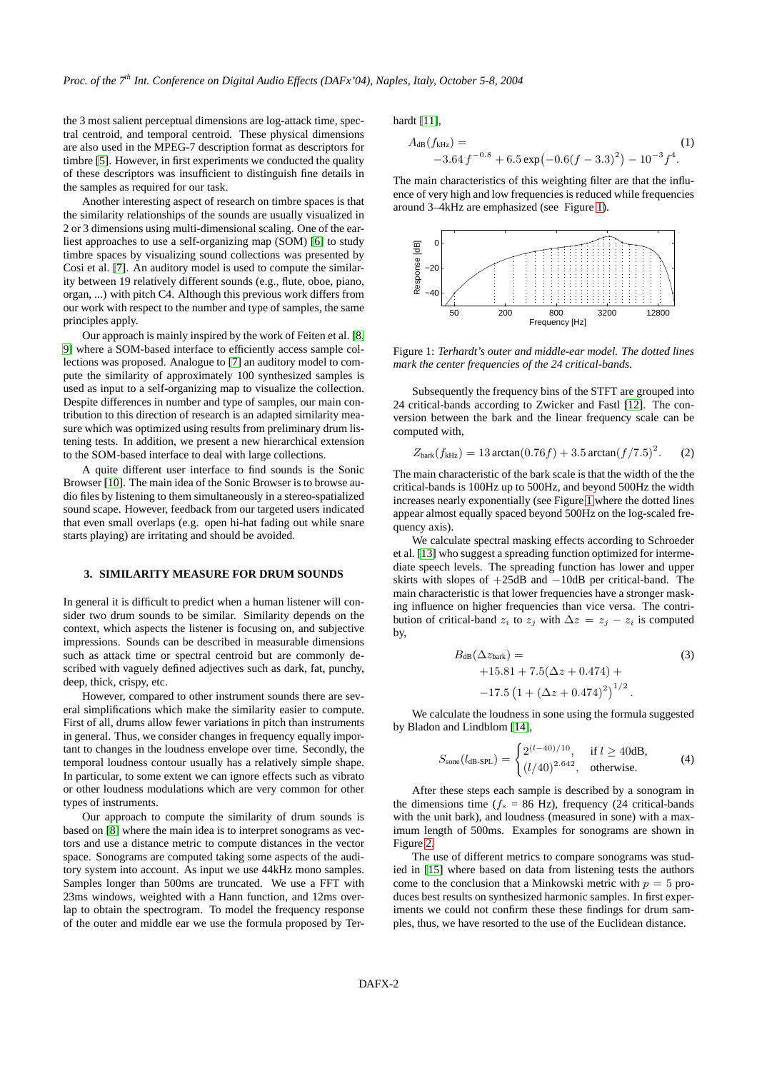the 3 most salient perceptual dimensions are log-attack time, spectral centroid, and temporal centroid. These physical dimensions are also used in the MPEG-7 description format as descriptors for timbre [\[5\]](#page-5-4). However, in first experiments we conducted the quality of these descriptors was insufficient to distinguish fine details in the samples as required for our task.

Another interesting aspect of research on timbre spaces is that the similarity relationships of the sounds are usually visualized in 2 or 3 dimensions using multi-dimensional scaling. One of the earliest approaches to use a self-organizing map (SOM) [\[6\]](#page-5-5) to study timbre spaces by visualizing sound collections was presented by Cosi et al. [\[7\]](#page-5-6). An auditory model is used to compute the similarity between 19 relatively different sounds (e.g., flute, oboe, piano, organ, ...) with pitch C4. Although this previous work differs from our work with respect to the number and type of samples, the same principles apply.

Our approach is mainly inspired by the work of Feiten et al. [\[8,](#page-5-7) [9\]](#page-5-8) where a SOM-based interface to efficiently access sample collections was proposed. Analogue to [\[7\]](#page-5-6) an auditory model to compute the similarity of approximately 100 synthesized samples is used as input to a self-organizing map to visualize the collection. Despite differences in number and type of samples, our main contribution to this direction of research is an adapted similarity measure which was optimized using results from preliminary drum listening tests. In addition, we present a new hierarchical extension to the SOM-based interface to deal with large collections.

A quite different user interface to find sounds is the Sonic Browser [\[10\]](#page-5-9). The main idea of the Sonic Browser is to browse audio files by listening to them simultaneously in a stereo-spatialized sound scape. However, feedback from our targeted users indicated that even small overlaps (e.g. open hi-hat fading out while snare starts playing) are irritating and should be avoided.

#### **3. SIMILARITY MEASURE FOR DRUM SOUNDS**

In general it is difficult to predict when a human listener will consider two drum sounds to be similar. Similarity depends on the context, which aspects the listener is focusing on, and subjective impressions. Sounds can be described in measurable dimensions such as attack time or spectral centroid but are commonly described with vaguely defined adjectives such as dark, fat, punchy, deep, thick, crispy, etc.

However, compared to other instrument sounds there are several simplifications which make the similarity easier to compute. First of all, drums allow fewer variations in pitch than instruments in general. Thus, we consider changes in frequency equally important to changes in the loudness envelope over time. Secondly, the temporal loudness contour usually has a relatively simple shape. In particular, to some extent we can ignore effects such as vibrato or other loudness modulations which are very common for other types of instruments.

Our approach to compute the similarity of drum sounds is based on [\[8\]](#page-5-7) where the main idea is to interpret sonograms as vectors and use a distance metric to compute distances in the vector space. Sonograms are computed taking some aspects of the auditory system into account. As input we use 44kHz mono samples. Samples longer than 500ms are truncated. We use a FFT with 23ms windows, weighted with a Hann function, and 12ms overlap to obtain the spectrogram. To model the frequency response of the outer and middle ear we use the formula proposed by Terhardt [\[11\]](#page-5-10),

$$
A_{\text{dB}}(f_{\text{kHz}}) =
$$
  
-3.64 f<sup>-0.8</sup> + 6.5 exp(-0.6(f - 3.3)<sup>2</sup>) - 10<sup>-3</sup>f<sup>4</sup>. (1)

The main characteristics of this weighting filter are that the influence of very high and low frequencies is reduced while frequencies around 3–4kHz are emphasized (see Figure [1\)](#page-1-0).



<span id="page-1-0"></span>Figure 1: *Terhardt's outer and middle-ear model. The dotted lines mark the center frequencies of the 24 critical-bands.*

Subsequently the frequency bins of the STFT are grouped into 24 critical-bands according to Zwicker and Fastl [\[12\]](#page-5-11). The conversion between the bark and the linear frequency scale can be computed with,

$$
Z_{\text{bark}}(f_{\text{kHz}}) = 13 \arctan(0.76f) + 3.5 \arctan(f/7.5)^2. \tag{2}
$$

The main characteristic of the bark scale is that the width of the the critical-bands is 100Hz up to 500Hz, and beyond 500Hz the width increases nearly exponentially (see Figure [1](#page-1-0) where the dotted lines appear almost equally spaced beyond 500Hz on the log-scaled frequency axis).

We calculate spectral masking effects according to Schroeder et al. [\[13\]](#page-5-12) who suggest a spreading function optimized for intermediate speech levels. The spreading function has lower and upper skirts with slopes of +25dB and −10dB per critical-band. The main characteristic is that lower frequencies have a stronger masking influence on higher frequencies than vice versa. The contribution of critical-band  $z_i$  to  $z_j$  with  $\Delta z = z_j - z_i$  is computed by,

$$
B_{\text{dB}}(\Delta z_{\text{bar}}) =
$$
\n
$$
+15.81 + 7.5(\Delta z + 0.474) +
$$
\n
$$
-17.5 (1 + (\Delta z + 0.474)^{2})^{1/2}.
$$
\n(3)

We calculate the loudness in sone using the formula suggested by Bladon and Lindblom [\[14\]](#page-5-13),

$$
S_{\text{some}}(l_{\text{dB-SPL}}) = \begin{cases} 2^{(l-40)/10}, & \text{if } l \ge 40 \text{dB}, \\ (l/40)^{2.642}, & \text{otherwise.} \end{cases}
$$
(4)

After these steps each sample is described by a sonogram in the dimensions time ( $f_s$  = 86 Hz), frequency (24 critical-bands with the unit bark), and loudness (measured in sone) with a maximum length of 500ms. Examples for sonograms are shown in Figure [2.](#page-2-0)

The use of different metrics to compare sonograms was studied in [\[15\]](#page-5-14) where based on data from listening tests the authors come to the conclusion that a Minkowski metric with  $p = 5$  produces best results on synthesized harmonic samples. In first experiments we could not confirm these these findings for drum samples, thus, we have resorted to the use of the Euclidean distance.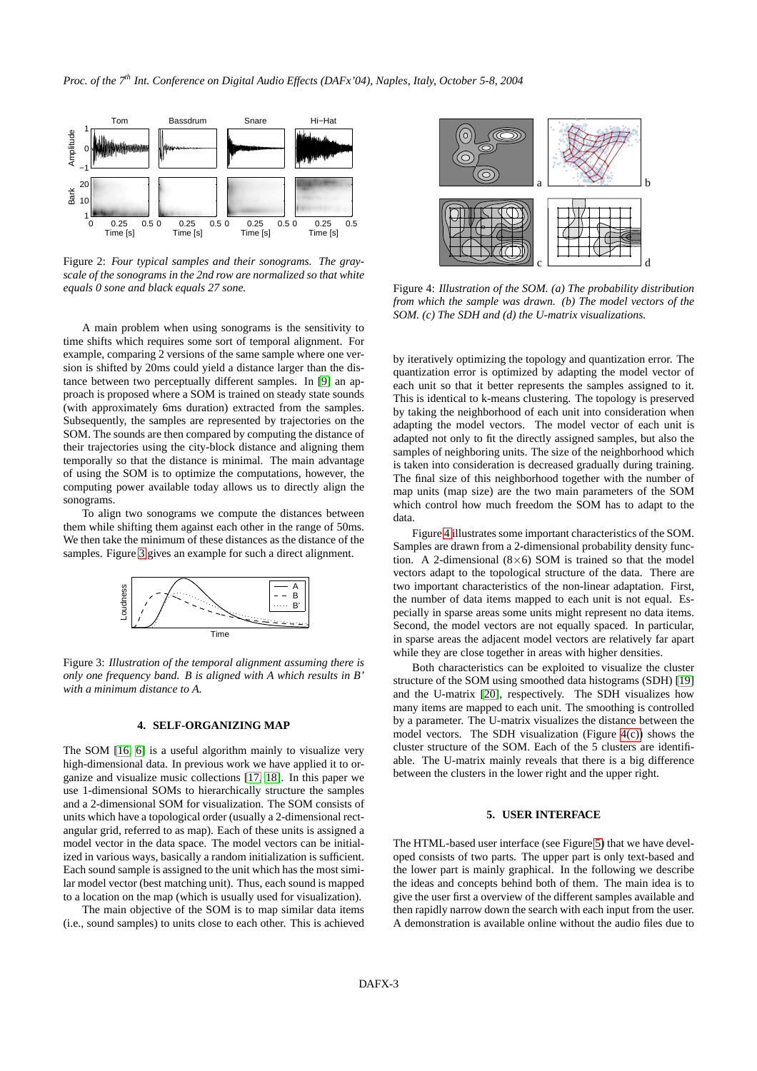

<span id="page-2-0"></span>Figure 2: *Four typical samples and their sonograms. The grayscale of the sonograms in the 2nd row are normalized so that white equals 0 sone and black equals 27 sone.*

A main problem when using sonograms is the sensitivity to time shifts which requires some sort of temporal alignment. For example, comparing 2 versions of the same sample where one version is shifted by 20ms could yield a distance larger than the distance between two perceptually different samples. In [\[9\]](#page-5-8) an approach is proposed where a SOM is trained on steady state sounds (with approximately 6ms duration) extracted from the samples. Subsequently, the samples are represented by trajectories on the SOM. The sounds are then compared by computing the distance of their trajectories using the city-block distance and aligning them temporally so that the distance is minimal. The main advantage of using the SOM is to optimize the computations, however, the computing power available today allows us to directly align the sonograms.

To align two sonograms we compute the distances between them while shifting them against each other in the range of 50ms. We then take the minimum of these distances as the distance of the samples. Figure [3](#page-2-1) gives an example for such a direct alignment.



<span id="page-2-1"></span>Figure 3: *Illustration of the temporal alignment assuming there is only one frequency band. B is aligned with A which results in B' with a minimum distance to A.*

## **4. SELF-ORGANIZING MAP**

The SOM [\[16,](#page-5-15) [6\]](#page-5-5) is a useful algorithm mainly to visualize very high-dimensional data. In previous work we have applied it to organize and visualize music collections [\[17,](#page-5-16) [18\]](#page-5-17). In this paper we use 1-dimensional SOMs to hierarchically structure the samples and a 2-dimensional SOM for visualization. The SOM consists of units which have a topological order (usually a 2-dimensional rectangular grid, referred to as map). Each of these units is assigned a model vector in the data space. The model vectors can be initialized in various ways, basically a random initialization is sufficient. Each sound sample is assigned to the unit which has the most similar model vector (best matching unit). Thus, each sound is mapped to a location on the map (which is usually used for visualization).

The main objective of the SOM is to map similar data items (i.e., sound samples) to units close to each other. This is achieved



<span id="page-2-3"></span><span id="page-2-2"></span>Figure 4: *Illustration of the SOM. (a) The probability distribution from which the sample was drawn. (b) The model vectors of the SOM. (c) The SDH and (d) the U-matrix visualizations.*

by iteratively optimizing the topology and quantization error. The quantization error is optimized by adapting the model vector of each unit so that it better represents the samples assigned to it. This is identical to k-means clustering. The topology is preserved by taking the neighborhood of each unit into consideration when adapting the model vectors. The model vector of each unit is adapted not only to fit the directly assigned samples, but also the samples of neighboring units. The size of the neighborhood which is taken into consideration is decreased gradually during training. The final size of this neighborhood together with the number of map units (map size) are the two main parameters of the SOM which control how much freedom the SOM has to adapt to the data.

Figure [4](#page-2-2) illustrates some important characteristics of the SOM. Samples are drawn from a 2-dimensional probability density function. A 2-dimensional  $(8\times6)$  SOM is trained so that the model vectors adapt to the topological structure of the data. There are two important characteristics of the non-linear adaptation. First, the number of data items mapped to each unit is not equal. Especially in sparse areas some units might represent no data items. Second, the model vectors are not equally spaced. In particular, in sparse areas the adjacent model vectors are relatively far apart while they are close together in areas with higher densities.

Both characteristics can be exploited to visualize the cluster structure of the SOM using smoothed data histograms (SDH) [\[19\]](#page-5-18) and the U-matrix [\[20\]](#page-5-19), respectively. The SDH visualizes how many items are mapped to each unit. The smoothing is controlled by a parameter. The U-matrix visualizes the distance between the model vectors. The SDH visualization (Figure [4\(c\)\)](#page-2-3) shows the cluster structure of the SOM. Each of the 5 clusters are identifiable. The U-matrix mainly reveals that there is a big difference between the clusters in the lower right and the upper right.

# **5. USER INTERFACE**

The HTML-based user interface (see Figure [5\)](#page-3-0) that we have developed consists of two parts. The upper part is only text-based and the lower part is mainly graphical. In the following we describe the ideas and concepts behind both of them. The main idea is to give the user first a overview of the different samples available and then rapidly narrow down the search with each input from the user. A demonstration is available online without the audio files due to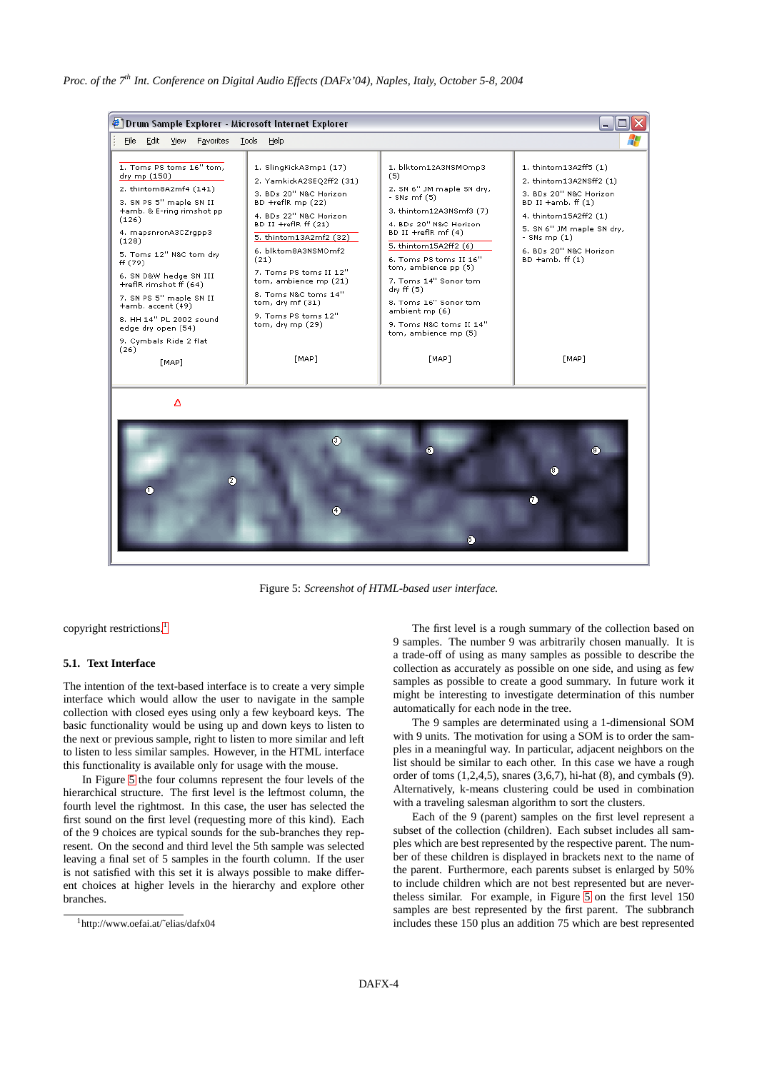

<span id="page-3-0"></span>Figure 5: *Screenshot of HTML-based user interface.*

copyright restrictions.<sup>[1](#page-3-1)</sup>

## **5.1. Text Interface**

The intention of the text-based interface is to create a very simple interface which would allow the user to navigate in the sample collection with closed eyes using only a few keyboard keys. The basic functionality would be using up and down keys to listen to the next or previous sample, right to listen to more similar and left to listen to less similar samples. However, in the HTML interface this functionality is available only for usage with the mouse.

In Figure [5](#page-3-0) the four columns represent the four levels of the hierarchical structure. The first level is the leftmost column, the fourth level the rightmost. In this case, the user has selected the first sound on the first level (requesting more of this kind). Each of the 9 choices are typical sounds for the sub-branches they represent. On the second and third level the 5th sample was selected leaving a final set of 5 samples in the fourth column. If the user is not satisfied with this set it is always possible to make different choices at higher levels in the hierarchy and explore other branches.

The first level is a rough summary of the collection based on 9 samples. The number 9 was arbitrarily chosen manually. It is a trade-off of using as many samples as possible to describe the collection as accurately as possible on one side, and using as few samples as possible to create a good summary. In future work it might be interesting to investigate determination of this number automatically for each node in the tree.

The 9 samples are determinated using a 1-dimensional SOM with 9 units. The motivation for using a SOM is to order the samples in a meaningful way. In particular, adjacent neighbors on the list should be similar to each other. In this case we have a rough order of toms  $(1,2,4,5)$ , snares  $(3,6,7)$ , hi-hat  $(8)$ , and cymbals  $(9)$ . Alternatively, k-means clustering could be used in combination with a traveling salesman algorithm to sort the clusters.

Each of the 9 (parent) samples on the first level represent a subset of the collection (children). Each subset includes all samples which are best represented by the respective parent. The number of these children is displayed in brackets next to the name of the parent. Furthermore, each parents subset is enlarged by 50% to include children which are not best represented but are nevertheless similar. For example, in Figure [5](#page-3-0) on the first level 150 samples are best represented by the first parent. The subbranch includes these 150 plus an addition 75 which are best represented

<span id="page-3-1"></span><sup>1</sup>http://www.oefai.at/˜elias/dafx04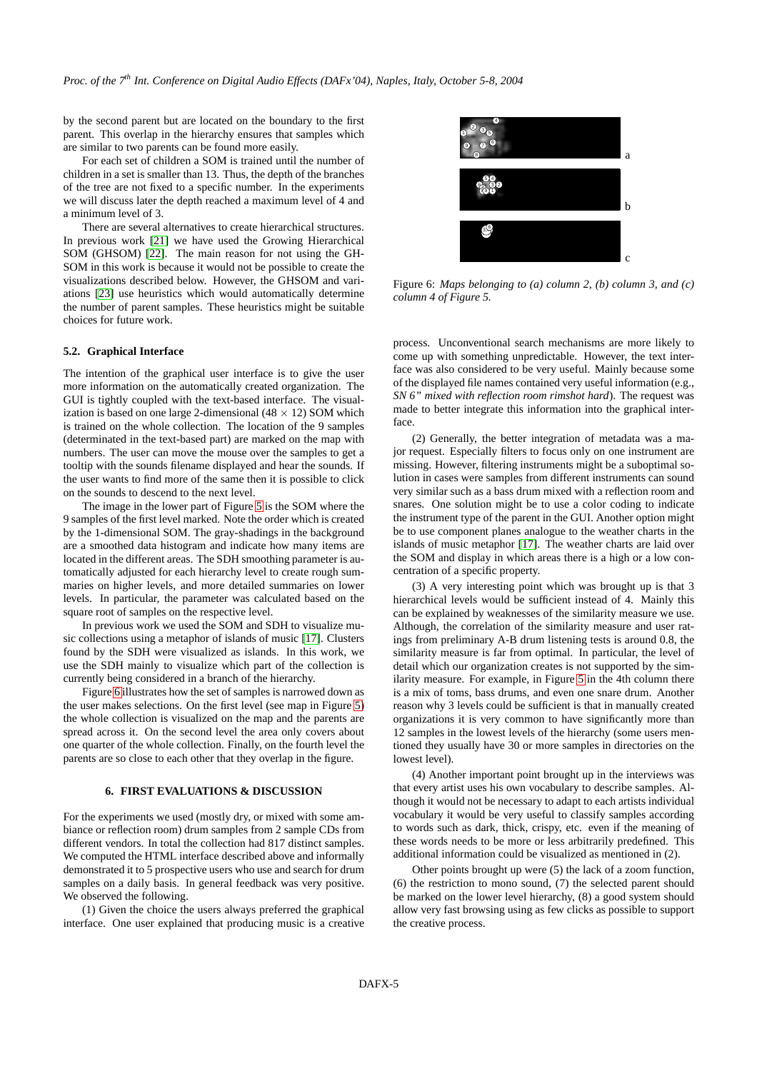by the second parent but are located on the boundary to the first parent. This overlap in the hierarchy ensures that samples which are similar to two parents can be found more easily.

For each set of children a SOM is trained until the number of children in a set is smaller than 13. Thus, the depth of the branches of the tree are not fixed to a specific number. In the experiments we will discuss later the depth reached a maximum level of 4 and a minimum level of 3.

There are several alternatives to create hierarchical structures. In previous work [\[21\]](#page-5-20) we have used the Growing Hierarchical SOM (GHSOM) [\[22\]](#page-5-21). The main reason for not using the GH-SOM in this work is because it would not be possible to create the visualizations described below. However, the GHSOM and variations [\[23\]](#page-5-22) use heuristics which would automatically determine the number of parent samples. These heuristics might be suitable choices for future work.

#### **5.2. Graphical Interface**

The intention of the graphical user interface is to give the user more information on the automatically created organization. The GUI is tightly coupled with the text-based interface. The visualization is based on one large 2-dimensional (48  $\times$  12) SOM which is trained on the whole collection. The location of the 9 samples (determinated in the text-based part) are marked on the map with numbers. The user can move the mouse over the samples to get a tooltip with the sounds filename displayed and hear the sounds. If the user wants to find more of the same then it is possible to click on the sounds to descend to the next level.

The image in the lower part of Figure [5](#page-3-0) is the SOM where the 9 samples of the first level marked. Note the order which is created by the 1-dimensional SOM. The gray-shadings in the background are a smoothed data histogram and indicate how many items are located in the different areas. The SDH smoothing parameter is automatically adjusted for each hierarchy level to create rough summaries on higher levels, and more detailed summaries on lower levels. In particular, the parameter was calculated based on the square root of samples on the respective level.

In previous work we used the SOM and SDH to visualize music collections using a metaphor of islands of music [\[17\]](#page-5-16). Clusters found by the SDH were visualized as islands. In this work, we use the SDH mainly to visualize which part of the collection is currently being considered in a branch of the hierarchy.

Figure [6](#page-4-0) illustrates how the set of samples is narrowed down as the user makes selections. On the first level (see map in Figure [5\)](#page-3-0) the whole collection is visualized on the map and the parents are spread across it. On the second level the area only covers about one quarter of the whole collection. Finally, on the fourth level the parents are so close to each other that they overlap in the figure.

#### **6. FIRST EVALUATIONS & DISCUSSION**

For the experiments we used (mostly dry, or mixed with some ambiance or reflection room) drum samples from 2 sample CDs from different vendors. In total the collection had 817 distinct samples. We computed the HTML interface described above and informally demonstrated it to 5 prospective users who use and search for drum samples on a daily basis. In general feedback was very positive. We observed the following.

(1) Given the choice the users always preferred the graphical interface. One user explained that producing music is a creative



<span id="page-4-0"></span>Figure 6: *Maps belonging to (a) column 2, (b) column 3, and (c) column 4 of Figure 5.*

process. Unconventional search mechanisms are more likely to come up with something unpredictable. However, the text interface was also considered to be very useful. Mainly because some of the displayed file names contained very useful information (e.g., *SN 6" mixed with reflection room rimshot hard*). The request was made to better integrate this information into the graphical interface.

(2) Generally, the better integration of metadata was a major request. Especially filters to focus only on one instrument are missing. However, filtering instruments might be a suboptimal solution in cases were samples from different instruments can sound very similar such as a bass drum mixed with a reflection room and snares. One solution might be to use a color coding to indicate the instrument type of the parent in the GUI. Another option might be to use component planes analogue to the weather charts in the islands of music metaphor [\[17\]](#page-5-16). The weather charts are laid over the SOM and display in which areas there is a high or a low concentration of a specific property.

(3) A very interesting point which was brought up is that 3 hierarchical levels would be sufficient instead of 4. Mainly this can be explained by weaknesses of the similarity measure we use. Although, the correlation of the similarity measure and user ratings from preliminary A-B drum listening tests is around 0.8, the similarity measure is far from optimal. In particular, the level of detail which our organization creates is not supported by the similarity measure. For example, in Figure [5](#page-3-0) in the 4th column there is a mix of toms, bass drums, and even one snare drum. Another reason why 3 levels could be sufficient is that in manually created organizations it is very common to have significantly more than 12 samples in the lowest levels of the hierarchy (some users mentioned they usually have 30 or more samples in directories on the lowest level).

(4) Another important point brought up in the interviews was that every artist uses his own vocabulary to describe samples. Although it would not be necessary to adapt to each artists individual vocabulary it would be very useful to classify samples according to words such as dark, thick, crispy, etc. even if the meaning of these words needs to be more or less arbitrarily predefined. This additional information could be visualized as mentioned in (2).

Other points brought up were (5) the lack of a zoom function, (6) the restriction to mono sound, (7) the selected parent should be marked on the lower level hierarchy, (8) a good system should allow very fast browsing using as few clicks as possible to support the creative process.